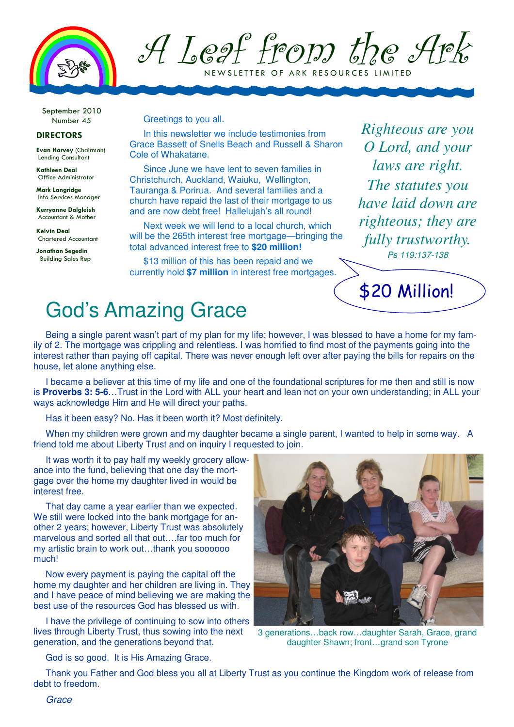

A Leaf from the Ark N E W SLETTER OF ARK RESOURCES LIMITED

September 2010 Number 45

### DIRECTORS

Evan Harvey (Chairman) Lending Consultant

Kathleen Deal Office Administrator

Mark Langridge Info Services Manager

Kerryanne Dalgleish Accountant & Mother

Kelvin Deal Chartered Accountant

Jonathan Segedin Building Sales Rep

#### Greetings to you all.

In this newsletter we include testimonies from Grace Bassett of Snells Beach and Russell & Sharon Cole of Whakatane.

Since June we have lent to seven families in Christchurch, Auckland, Waiuku, Wellington, Tauranga & Porirua. And several families and a church have repaid the last of their mortgage to us and are now debt free! Hallelujah's all round!

Next week we will lend to a local church, which will be the 265th interest free mortgage—bringing the total advanced interest free to **\$20 million!** 

\$13 million of this has been repaid and we currently hold **\$7 million** in interest free mortgages.

*Righteous are you O Lord, and your laws are right. The statutes you have laid down are righteous; they are fully trustworthy.*  Ps 119:137-138

\$20 Million!

# God's Amazing Grace

Being a single parent wasn't part of my plan for my life; however, I was blessed to have a home for my family of 2. The mortgage was crippling and relentless. I was horrified to find most of the payments going into the interest rather than paying off capital. There was never enough left over after paying the bills for repairs on the house, let alone anything else.

I became a believer at this time of my life and one of the foundational scriptures for me then and still is now is **Proverbs 3: 5-6**…Trust in the Lord with ALL your heart and lean not on your own understanding; in ALL your ways acknowledge Him and He will direct your paths.

Has it been easy? No. Has it been worth it? Most definitely.

When my children were grown and my daughter became a single parent, I wanted to help in some way. A friend told me about Liberty Trust and on inquiry I requested to join.

It was worth it to pay half my weekly grocery allowance into the fund, believing that one day the mortgage over the home my daughter lived in would be interest free.

That day came a year earlier than we expected. We still were locked into the bank mortgage for another 2 years; however, Liberty Trust was absolutely marvelous and sorted all that out….far too much for my artistic brain to work out…thank you soooooo much!

Now every payment is paying the capital off the home my daughter and her children are living in. They and I have peace of mind believing we are making the best use of the resources God has blessed us with.

I have the privilege of continuing to sow into others lives through Liberty Trust, thus sowing into the next generation, and the generations beyond that.



3 generations…back row…daughter Sarah, Grace, grand daughter Shawn; front…grand son Tyrone

God is so good. It is His Amazing Grace.

Thank you Father and God bless you all at Liberty Trust as you continue the Kingdom work of release from debt to freedom.